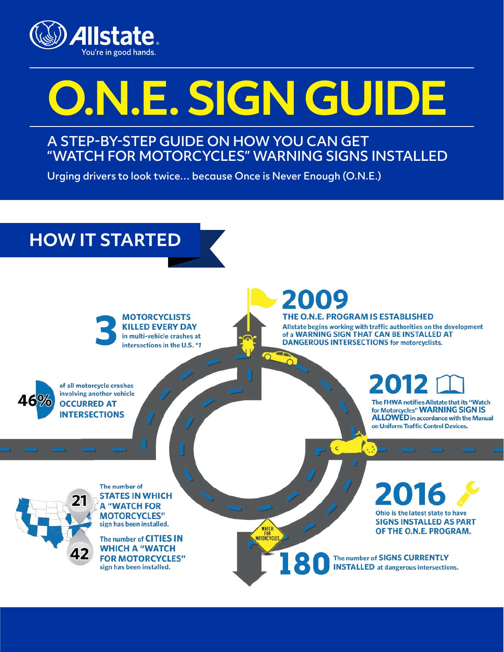

# **O.N.E. SIGN GUIDE**

### A STEP-BY-STEP GUIDE ON HOW YOU CAN GET "WATCH FOR MOTORCYCLES" WARNING SIGNS INSTALLED

Urging drivers to look twice… because Once is Never Enough (O.N.E.)

## **HOW IT STARTED**



**MOTORCYCLISTS KILLED EVERY DAY** in multi-vehicle crashes at intersections in the U.S. \*1

2009

WATC

**FOR**<br>MOTORCYCLES

8

THE O.N.E. PROGRAM IS ESTABLISHED Allstate begins working with traffic authorities on the development of a WARNING SIGN THAT CAN BE INSTALLED AT **DANGEROUS INTERSECTIONS for motorcyclists.** 



of all motorcycle crashes involving another vehicle **OCCURRED AT INTERSECTIONS** 

**2012** E

The FHWA notifies Allstate that its "Watch for Motorcycles" WARNING SIGN IS **ALLOWED** in accordance with the Manual on Uniform Traffic Control Devices.

The number of **STATES IN WHICH A "WATCH FOR MOTORCYCLES"** sign has been installed.

The number of CITIES IN **WHICH A "WATCH FOR MOTORCYCLES"** sign has been installed.

016 Ohio is the latest state to have **SIGNS INSTALLED AS PART** OF THE O.N.E. PROGRAM.

The number of SIGNS CURRENTLY **INSTALLED** at dangerous intersections.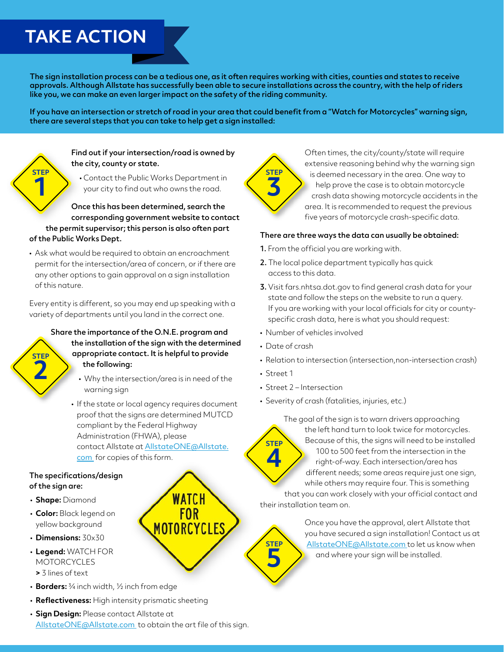## **TAKE ACTION**

The sign installation process can be a tedious one, as it often requires working with cities, counties and states to receive approvals. Although Allstate has successfully been able to secure installations across the country, with the help of riders like you, we can make an even larger impact on the safety of the riding community.

If you have an intersection or stretch of road in your area that could benefit from a "Watch for Motorcycles" warning sign, there are several steps that you can take to help get a sign installed:



#### Find out if your intersection/road is owned by the city, county or state.

• Contact the Public Works Department in your city to find out who owns the road.

Once this has been determined, search the corresponding government website to contact the permit supervisor; this person is also often part of the Public Works Dept.

• Ask what would be required to obtain an encroachment permit for the intersection/area of concern, or if there are any other options to gain approval on a sign installation of this nature.

Every entity is different, so you may end up speaking with a variety of departments until you land in the correct one.

#### Share the importance of the O.N.E. program and the installation of the sign with the determined appropriate contact. It is helpful to provide the following: **STEP 2**

- Why the intersection/area is in need of the warning sign
- If the state or local agency requires document proof that the signs are determined MUTCD compliant by the Federal Highway Administration (FHWA), please contact Allstate at [AllstateONE@Allstate.](mailto:allstateone@allstate.com) [com](mailto:allstateone@allstate.com) for copies of this form.

WATCH **FOR** MOTORCYCLES

#### The specifications/design of the sign are:

- **Shape:** Diamond
- **Color:** Black legend on yellow background
- **Dimensions:** 30x30
- **Legend:** WATCH FOR MOTORCYCLES **>** 3 lines of text
- **Borders:** ¾ inch width, ½ inch from edge
- **Reflectiveness:** High intensity prismatic sheeting
- **Sign Design:** Please contact Allstate at [AllstateONE@Allstate.com](mailto:allstateone@allstate.com) to obtain the art file of this sign.

**STEP 3**

Often times, the city/county/state will require extensive reasoning behind why the warning sign is deemed necessary in the area. One way to help prove the case is to obtain motorcycle crash data showing motorcycle accidents in the area. It is recommended to request the previous five years of motorcycle crash-specific data.

#### There are three ways the data can usually be obtained:

- 1. From the official you are working with.
- 2. The local police department typically has quick access to this data.
- 3. Visit fars.nhtsa.dot.gov to find general crash data for your state and follow the steps on the website to run a query. If you are working with your local officials for city or countyspecific crash data, here is what you should request:
- Number of vehicles involved
- Date of crash
- Relation to intersection (intersection,non-intersection crash)
- Street 1

**STEP 4**

**STEP**

**5**

- Street 2 Intersection
- Severity of crash (fatalities, injuries, etc.)

The goal of the sign is to warn drivers approaching the left hand turn to look twice for motorcycles. Because of this, the signs will need to be installed 100 to 500 feet from the intersection in the right-of-way. Each intersection/area has different needs; some areas require just one sign, while others may require four. This is something

that you can work closely with your official contact and their installation team on.

> Once you have the approval, alert Allstate that you have secured a sign installation! Contact us at [AllstateONE@Allstate.com](mailto:allstateone@allstate.com) to let us know when and where your sign will be installed.